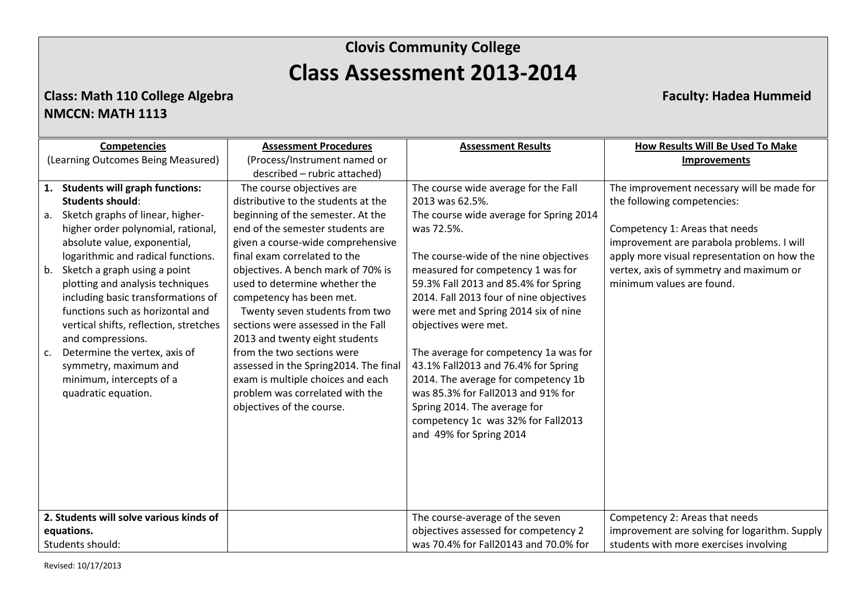### **Class: Math 110 College Algebra Faculty: Hadea Hummeid NMCCN: MATH 1113**

|                                         | <b>Competencies</b>                    | <b>Assessment Procedures</b>          | <b>Assessment Results</b>               | How Results Will Be Used To Make              |
|-----------------------------------------|----------------------------------------|---------------------------------------|-----------------------------------------|-----------------------------------------------|
|                                         | (Learning Outcomes Being Measured)     | (Process/Instrument named or          |                                         | <b>Improvements</b>                           |
|                                         |                                        | described - rubric attached)          |                                         |                                               |
|                                         | 1. Students will graph functions:      | The course objectives are             | The course wide average for the Fall    | The improvement necessary will be made for    |
|                                         | <b>Students should:</b>                | distributive to the students at the   | 2013 was 62.5%.                         | the following competencies:                   |
|                                         | a. Sketch graphs of linear, higher-    | beginning of the semester. At the     | The course wide average for Spring 2014 |                                               |
|                                         | higher order polynomial, rational,     | end of the semester students are      | was 72.5%.                              | Competency 1: Areas that needs                |
|                                         | absolute value, exponential,           | given a course-wide comprehensive     |                                         | improvement are parabola problems. I will     |
|                                         | logarithmic and radical functions.     | final exam correlated to the          | The course-wide of the nine objectives  | apply more visual representation on how the   |
|                                         | b. Sketch a graph using a point        | objectives. A bench mark of 70% is    | measured for competency 1 was for       | vertex, axis of symmetry and maximum or       |
|                                         | plotting and analysis techniques       | used to determine whether the         | 59.3% Fall 2013 and 85.4% for Spring    | minimum values are found.                     |
|                                         | including basic transformations of     | competency has been met.              | 2014. Fall 2013 four of nine objectives |                                               |
|                                         | functions such as horizontal and       | Twenty seven students from two        | were met and Spring 2014 six of nine    |                                               |
|                                         | vertical shifts, reflection, stretches | sections were assessed in the Fall    | objectives were met.                    |                                               |
|                                         | and compressions.                      | 2013 and twenty eight students        |                                         |                                               |
| c.                                      | Determine the vertex, axis of          | from the two sections were            | The average for competency 1a was for   |                                               |
|                                         | symmetry, maximum and                  | assessed in the Spring2014. The final | 43.1% Fall2013 and 76.4% for Spring     |                                               |
|                                         | minimum, intercepts of a               | exam is multiple choices and each     | 2014. The average for competency 1b     |                                               |
|                                         | quadratic equation.                    | problem was correlated with the       | was 85.3% for Fall2013 and 91% for      |                                               |
|                                         |                                        | objectives of the course.             | Spring 2014. The average for            |                                               |
|                                         |                                        |                                       | competency 1c was 32% for Fall2013      |                                               |
|                                         |                                        |                                       | and 49% for Spring 2014                 |                                               |
|                                         |                                        |                                       |                                         |                                               |
|                                         |                                        |                                       |                                         |                                               |
|                                         |                                        |                                       |                                         |                                               |
|                                         |                                        |                                       |                                         |                                               |
|                                         |                                        |                                       |                                         |                                               |
| 2. Students will solve various kinds of |                                        |                                       | The course-average of the seven         | Competency 2: Areas that needs                |
| equations.                              |                                        |                                       | objectives assessed for competency 2    | improvement are solving for logarithm. Supply |
| Students should:                        |                                        |                                       | was 70.4% for Fall20143 and 70.0% for   | students with more exercises involving        |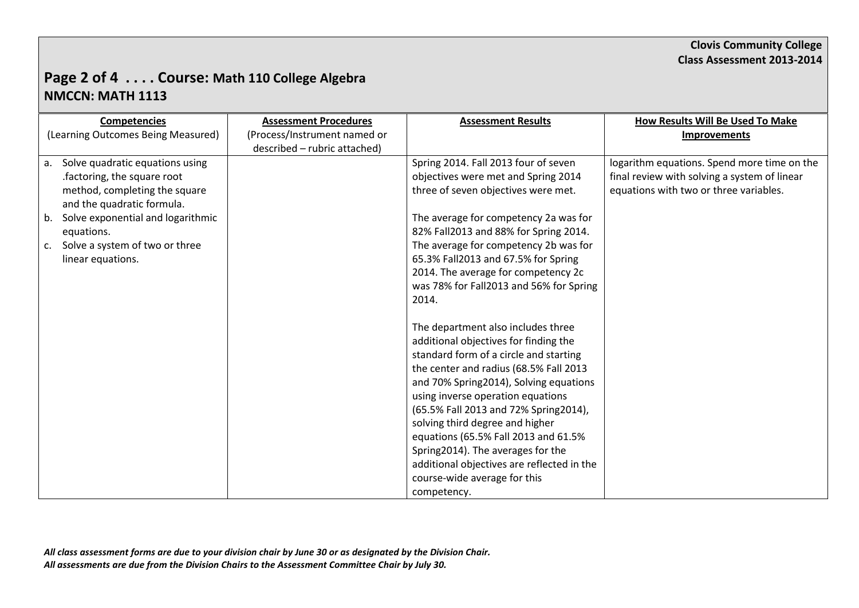# **Page 2 of 4 . . . . Course: Math 110 College Algebra NMCCN: MATH 1113**

| <b>Competencies</b>                           | <b>Assessment Procedures</b> | <b>Assessment Results</b>                  | <b>How Results Will Be Used To Make</b>      |
|-----------------------------------------------|------------------------------|--------------------------------------------|----------------------------------------------|
| (Learning Outcomes Being Measured)            | (Process/Instrument named or |                                            | <b>Improvements</b>                          |
|                                               | described - rubric attached) |                                            |                                              |
| Solve quadratic equations using<br>a.         |                              | Spring 2014. Fall 2013 four of seven       | logarithm equations. Spend more time on the  |
| .factoring, the square root                   |                              | objectives were met and Spring 2014        | final review with solving a system of linear |
| method, completing the square                 |                              | three of seven objectives were met.        | equations with two or three variables.       |
| and the quadratic formula.                    |                              |                                            |                                              |
| Solve exponential and logarithmic<br>b.       |                              | The average for competency 2a was for      |                                              |
| equations.                                    |                              | 82% Fall2013 and 88% for Spring 2014.      |                                              |
| Solve a system of two or three<br>$c_{\cdot}$ |                              | The average for competency 2b was for      |                                              |
| linear equations.                             |                              | 65.3% Fall2013 and 67.5% for Spring        |                                              |
|                                               |                              | 2014. The average for competency 2c        |                                              |
|                                               |                              | was 78% for Fall2013 and 56% for Spring    |                                              |
|                                               |                              | 2014.                                      |                                              |
|                                               |                              |                                            |                                              |
|                                               |                              | The department also includes three         |                                              |
|                                               |                              | additional objectives for finding the      |                                              |
|                                               |                              | standard form of a circle and starting     |                                              |
|                                               |                              | the center and radius (68.5% Fall 2013     |                                              |
|                                               |                              | and 70% Spring2014), Solving equations     |                                              |
|                                               |                              | using inverse operation equations          |                                              |
|                                               |                              | (65.5% Fall 2013 and 72% Spring2014),      |                                              |
|                                               |                              | solving third degree and higher            |                                              |
|                                               |                              | equations (65.5% Fall 2013 and 61.5%       |                                              |
|                                               |                              | Spring2014). The averages for the          |                                              |
|                                               |                              | additional objectives are reflected in the |                                              |
|                                               |                              | course-wide average for this               |                                              |
|                                               |                              | competency.                                |                                              |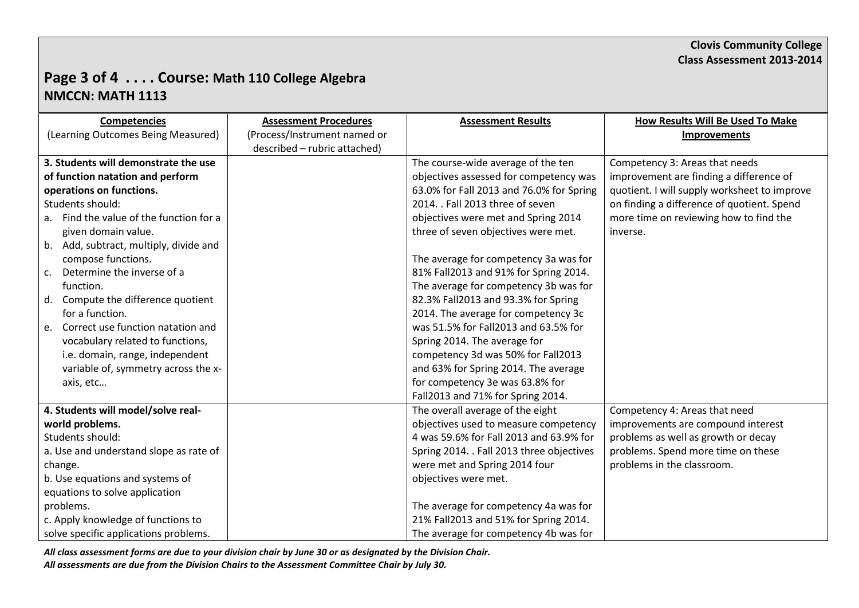# **Page 3 of 4 . . . . Course: Math 110 College Algebra NMCCN: MATH 1113**

| <b>Competencies</b>                         | <b>Assessment Procedures</b> | <b>Assessment Results</b>                 | <b>How Results Will Be Used To Make</b>      |
|---------------------------------------------|------------------------------|-------------------------------------------|----------------------------------------------|
| (Learning Outcomes Being Measured)          | (Process/Instrument named or |                                           | <b>Improvements</b>                          |
|                                             | described - rubric attached) |                                           |                                              |
| 3. Students will demonstrate the use        |                              | The course-wide average of the ten        | Competency 3: Areas that needs               |
| of function natation and perform            |                              | objectives assessed for competency was    | improvement are finding a difference of      |
| operations on functions.                    |                              | 63.0% for Fall 2013 and 76.0% for Spring  | quotient. I will supply worksheet to improve |
| Students should:                            |                              | 2014. . Fall 2013 three of seven          | on finding a difference of quotient. Spend   |
| a. Find the value of the function for a     |                              | objectives were met and Spring 2014       | more time on reviewing how to find the       |
| given domain value.                         |                              | three of seven objectives were met.       | inverse.                                     |
| b. Add, subtract, multiply, divide and      |                              |                                           |                                              |
| compose functions.                          |                              | The average for competency 3a was for     |                                              |
| Determine the inverse of a<br>$C_{\bullet}$ |                              | 81% Fall2013 and 91% for Spring 2014.     |                                              |
| function.                                   |                              | The average for competency 3b was for     |                                              |
| d. Compute the difference quotient          |                              | 82.3% Fall2013 and 93.3% for Spring       |                                              |
| for a function.                             |                              | 2014. The average for competency 3c       |                                              |
| e. Correct use function natation and        |                              | was 51.5% for Fall2013 and 63.5% for      |                                              |
| vocabulary related to functions,            |                              | Spring 2014. The average for              |                                              |
| i.e. domain, range, independent             |                              | competency 3d was 50% for Fall2013        |                                              |
| variable of, symmetry across the x-         |                              | and 63% for Spring 2014. The average      |                                              |
| axis, etc                                   |                              | for competency 3e was 63.8% for           |                                              |
|                                             |                              | Fall2013 and 71% for Spring 2014.         |                                              |
| 4. Students will model/solve real-          |                              | The overall average of the eight          | Competency 4: Areas that need                |
| world problems.                             |                              | objectives used to measure competency     | improvements are compound interest           |
| Students should:                            |                              | 4 was 59.6% for Fall 2013 and 63.9% for   | problems as well as growth or decay          |
| a. Use and understand slope as rate of      |                              | Spring 2014. . Fall 2013 three objectives | problems. Spend more time on these           |
| change.                                     |                              | were met and Spring 2014 four             | problems in the classroom.                   |
| b. Use equations and systems of             |                              | objectives were met.                      |                                              |
| equations to solve application              |                              |                                           |                                              |
| problems.                                   |                              | The average for competency 4a was for     |                                              |
| c. Apply knowledge of functions to          |                              | 21% Fall2013 and 51% for Spring 2014.     |                                              |
| solve specific applications problems.       |                              | The average for competency 4b was for     |                                              |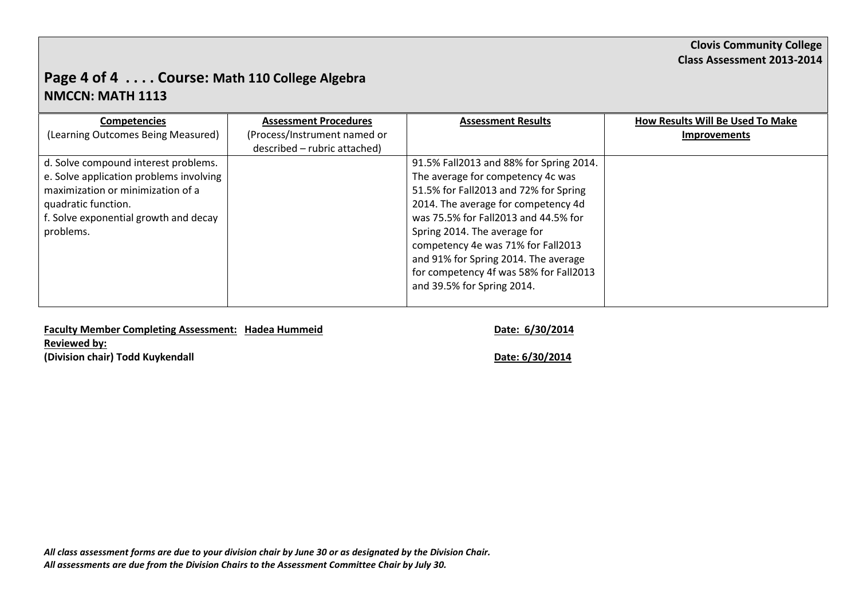# **Page 4 of 4 . . . . Course: Math 110 College Algebra NMCCN: MATH 1113**

| <b>Competencies</b>                     | <b>Assessment Procedures</b> | <b>Assessment Results</b>               | How Results Will Be Used To Make |
|-----------------------------------------|------------------------------|-----------------------------------------|----------------------------------|
| (Learning Outcomes Being Measured)      | (Process/Instrument named or |                                         | <b>Improvements</b>              |
|                                         | described - rubric attached) |                                         |                                  |
| d. Solve compound interest problems.    |                              | 91.5% Fall2013 and 88% for Spring 2014. |                                  |
| e. Solve application problems involving |                              | The average for competency 4c was       |                                  |
| maximization or minimization of a       |                              | 51.5% for Fall2013 and 72% for Spring   |                                  |
| quadratic function.                     |                              | 2014. The average for competency 4d     |                                  |
| f. Solve exponential growth and decay   |                              | was 75.5% for Fall2013 and 44.5% for    |                                  |
| problems.                               |                              | Spring 2014. The average for            |                                  |
|                                         |                              | competency 4e was 71% for Fall2013      |                                  |
|                                         |                              | and 91% for Spring 2014. The average    |                                  |
|                                         |                              | for competency 4f was 58% for Fall2013  |                                  |
|                                         |                              | and 39.5% for Spring 2014.              |                                  |
|                                         |                              |                                         |                                  |

**Faculty Member Completing Assessment: Hadea Hummeid Date: 6/30/2014 Reviewed by: (Division chair) Todd Kuykendall Date: 6/30/2014**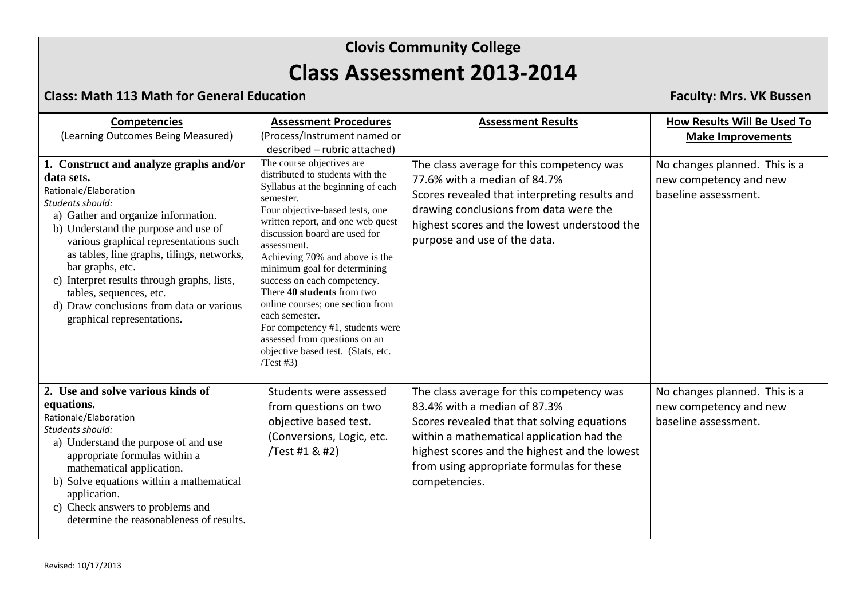### **Class: Math 113 Math for General Education Faculty: Mrs. VK Bussen**

| <b>Competencies</b><br>(Learning Outcomes Being Measured)                                                                                                                                                                                                                                                                                                                                                                                        | <b>Assessment Procedures</b><br>(Process/Instrument named or<br>described - rubric attached)                                                                                                                                                                                                                                                                                                                                                                                                                                                           | <b>Assessment Results</b>                                                                                                                                                                                                                                                            | How Results Will Be Used To<br><b>Make Improvements</b>                         |
|--------------------------------------------------------------------------------------------------------------------------------------------------------------------------------------------------------------------------------------------------------------------------------------------------------------------------------------------------------------------------------------------------------------------------------------------------|--------------------------------------------------------------------------------------------------------------------------------------------------------------------------------------------------------------------------------------------------------------------------------------------------------------------------------------------------------------------------------------------------------------------------------------------------------------------------------------------------------------------------------------------------------|--------------------------------------------------------------------------------------------------------------------------------------------------------------------------------------------------------------------------------------------------------------------------------------|---------------------------------------------------------------------------------|
| 1. Construct and analyze graphs and/or<br>data sets.<br>Rationale/Elaboration<br>Students should:<br>a) Gather and organize information.<br>b) Understand the purpose and use of<br>various graphical representations such<br>as tables, line graphs, tilings, networks,<br>bar graphs, etc.<br>c) Interpret results through graphs, lists,<br>tables, sequences, etc.<br>d) Draw conclusions from data or various<br>graphical representations. | The course objectives are<br>distributed to students with the<br>Syllabus at the beginning of each<br>semester.<br>Four objective-based tests, one<br>written report, and one web quest<br>discussion board are used for<br>assessment.<br>Achieving 70% and above is the<br>minimum goal for determining<br>success on each competency.<br>There 40 students from two<br>online courses; one section from<br>each semester.<br>For competency #1, students were<br>assessed from questions on an<br>objective based test. (Stats, etc.<br>$Test \#3)$ | The class average for this competency was<br>77.6% with a median of 84.7%<br>Scores revealed that interpreting results and<br>drawing conclusions from data were the<br>highest scores and the lowest understood the<br>purpose and use of the data.                                 | No changes planned. This is a<br>new competency and new<br>baseline assessment. |
| 2. Use and solve various kinds of<br>equations.<br>Rationale/Elaboration<br>Students should:<br>a) Understand the purpose of and use<br>appropriate formulas within a<br>mathematical application.<br>b) Solve equations within a mathematical<br>application.<br>c) Check answers to problems and<br>determine the reasonableness of results.                                                                                                   | Students were assessed<br>from questions on two<br>objective based test.<br>(Conversions, Logic, etc.<br>/Test #1 & #2)                                                                                                                                                                                                                                                                                                                                                                                                                                | The class average for this competency was<br>83.4% with a median of 87.3%<br>Scores revealed that that solving equations<br>within a mathematical application had the<br>highest scores and the highest and the lowest<br>from using appropriate formulas for these<br>competencies. | No changes planned. This is a<br>new competency and new<br>baseline assessment. |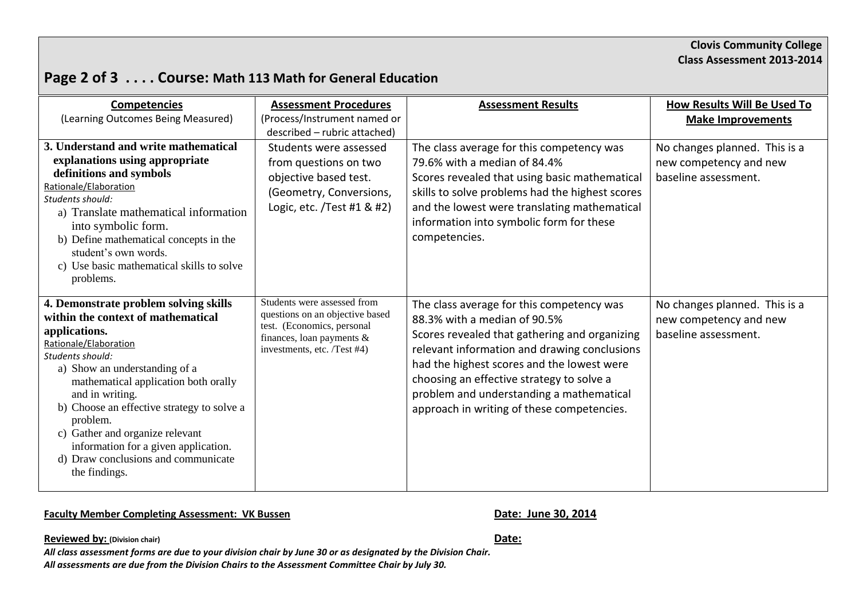# **Page 2 of 3 . . . . Course: Math 113 Math for General Education**

| <b>Competencies</b><br>(Learning Outcomes Being Measured)                                                                                                                                                                                                                                                                                                                                                                          | <b>Assessment Procedures</b><br>(Process/Instrument named or<br>described - rubric attached)                                                                | <b>Assessment Results</b>                                                                                                                                                                                                                                                                                                                                       | How Results Will Be Used To<br><b>Make Improvements</b>                         |
|------------------------------------------------------------------------------------------------------------------------------------------------------------------------------------------------------------------------------------------------------------------------------------------------------------------------------------------------------------------------------------------------------------------------------------|-------------------------------------------------------------------------------------------------------------------------------------------------------------|-----------------------------------------------------------------------------------------------------------------------------------------------------------------------------------------------------------------------------------------------------------------------------------------------------------------------------------------------------------------|---------------------------------------------------------------------------------|
| 3. Understand and write mathematical<br>explanations using appropriate<br>definitions and symbols<br>Rationale/Elaboration<br>Students should:<br>a) Translate mathematical information<br>into symbolic form.<br>b) Define mathematical concepts in the<br>student's own words.<br>c) Use basic mathematical skills to solve<br>problems.                                                                                         | Students were assessed<br>from questions on two<br>objective based test.<br>(Geometry, Conversions,<br>Logic, etc. /Test #1 & #2)                           | The class average for this competency was<br>79.6% with a median of 84.4%<br>Scores revealed that using basic mathematical<br>skills to solve problems had the highest scores<br>and the lowest were translating mathematical<br>information into symbolic form for these<br>competencies.                                                                      | No changes planned. This is a<br>new competency and new<br>baseline assessment. |
| 4. Demonstrate problem solving skills<br>within the context of mathematical<br>applications.<br>Rationale/Elaboration<br>Students should:<br>a) Show an understanding of a<br>mathematical application both orally<br>and in writing.<br>b) Choose an effective strategy to solve a<br>problem.<br>c) Gather and organize relevant<br>information for a given application.<br>d) Draw conclusions and communicate<br>the findings. | Students were assessed from<br>questions on an objective based<br>test. (Economics, personal<br>finances, loan payments $\&$<br>investments, etc. /Test #4) | The class average for this competency was<br>88.3% with a median of 90.5%<br>Scores revealed that gathering and organizing<br>relevant information and drawing conclusions<br>had the highest scores and the lowest were<br>choosing an effective strategy to solve a<br>problem and understanding a mathematical<br>approach in writing of these competencies. | No changes planned. This is a<br>new competency and new<br>baseline assessment. |

#### Faculty Member Completing Assessment: VK Bussen<br>
Date: June 30, 2014

**Reviewed by: (Division chair) Date:**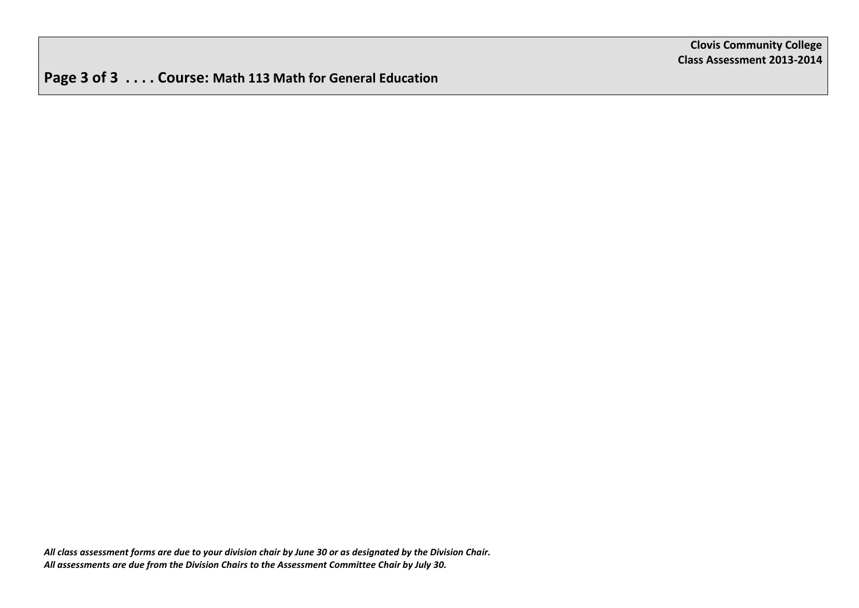**Page 3 of 3 . . . . Course: Math 113 Math for General Education**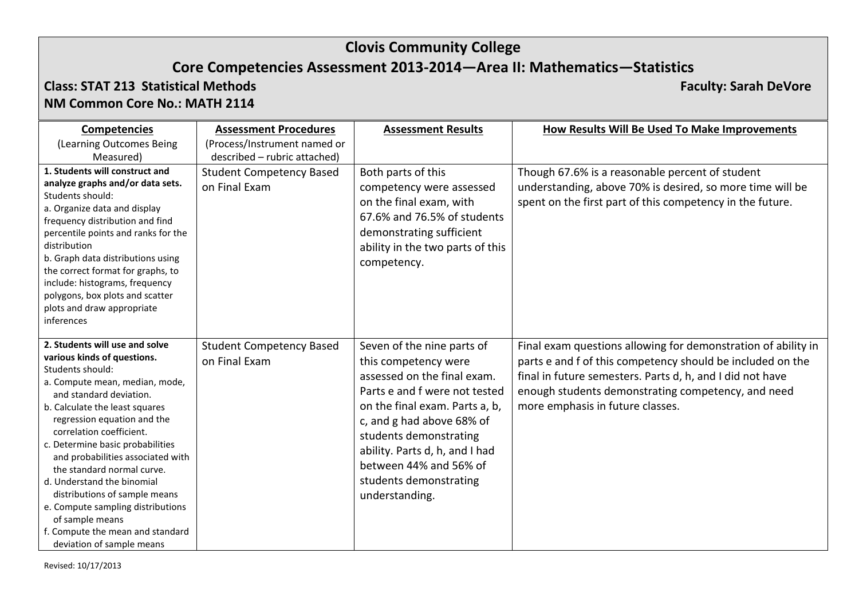# **Clovis Community College**

# **Core Competencies Assessment 2013-2014—Area II: Mathematics—Statistics**

#### **Class: STAT 213 Statistical Methods Faculty: Sarah DeVore NM Common Core No.: MATH 2114**

| <b>Competencies</b>                                                                                                                                                                                                                                                                                                                                                                                                                                                                                                                        | <b>Assessment Procedures</b>                     | <b>Assessment Results</b>                                                                                                                                                                                                                                                                                           | How Results Will Be Used To Make Improvements                                                                                                                                                                                                                                      |
|--------------------------------------------------------------------------------------------------------------------------------------------------------------------------------------------------------------------------------------------------------------------------------------------------------------------------------------------------------------------------------------------------------------------------------------------------------------------------------------------------------------------------------------------|--------------------------------------------------|---------------------------------------------------------------------------------------------------------------------------------------------------------------------------------------------------------------------------------------------------------------------------------------------------------------------|------------------------------------------------------------------------------------------------------------------------------------------------------------------------------------------------------------------------------------------------------------------------------------|
| (Learning Outcomes Being                                                                                                                                                                                                                                                                                                                                                                                                                                                                                                                   | (Process/Instrument named or                     |                                                                                                                                                                                                                                                                                                                     |                                                                                                                                                                                                                                                                                    |
| Measured)                                                                                                                                                                                                                                                                                                                                                                                                                                                                                                                                  | described - rubric attached)                     |                                                                                                                                                                                                                                                                                                                     |                                                                                                                                                                                                                                                                                    |
| 1. Students will construct and<br>analyze graphs and/or data sets.<br>Students should:<br>a. Organize data and display<br>frequency distribution and find<br>percentile points and ranks for the<br>distribution<br>b. Graph data distributions using<br>the correct format for graphs, to<br>include: histograms, frequency<br>polygons, box plots and scatter<br>plots and draw appropriate<br>inferences                                                                                                                                | <b>Student Competency Based</b><br>on Final Exam | Both parts of this<br>competency were assessed<br>on the final exam, with<br>67.6% and 76.5% of students<br>demonstrating sufficient<br>ability in the two parts of this<br>competency.                                                                                                                             | Though 67.6% is a reasonable percent of student<br>understanding, above 70% is desired, so more time will be<br>spent on the first part of this competency in the future.                                                                                                          |
| 2. Students will use and solve<br>various kinds of questions.<br>Students should:<br>a. Compute mean, median, mode,<br>and standard deviation.<br>b. Calculate the least squares<br>regression equation and the<br>correlation coefficient.<br>c. Determine basic probabilities<br>and probabilities associated with<br>the standard normal curve.<br>d. Understand the binomial<br>distributions of sample means<br>e. Compute sampling distributions<br>of sample means<br>f. Compute the mean and standard<br>deviation of sample means | <b>Student Competency Based</b><br>on Final Exam | Seven of the nine parts of<br>this competency were<br>assessed on the final exam.<br>Parts e and f were not tested<br>on the final exam. Parts a, b,<br>c, and g had above 68% of<br>students demonstrating<br>ability. Parts d, h, and I had<br>between 44% and 56% of<br>students demonstrating<br>understanding. | Final exam questions allowing for demonstration of ability in<br>parts e and f of this competency should be included on the<br>final in future semesters. Parts d, h, and I did not have<br>enough students demonstrating competency, and need<br>more emphasis in future classes. |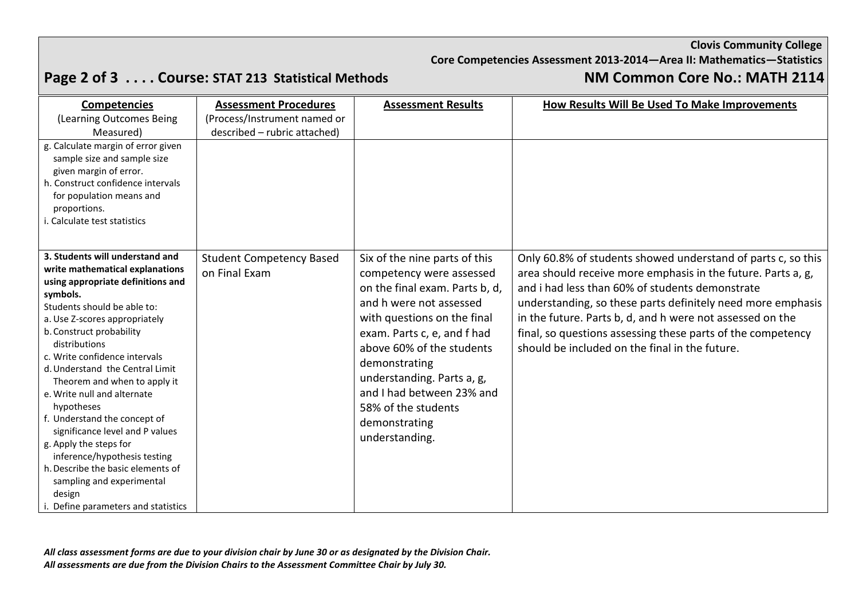**Clovis Community College**

**Core Competencies Assessment 2013-2014—Area II: Mathematics—Statistics**

# **Page 2 of 3 . . . . Course: STAT 213 Statistical Methods NM Common Core No.: MATH 2114**

| <b>Competencies</b>                                                                                                                                                                                                                                                                                                                                                                                                                                                                                                                                                                                                               | <b>Assessment Procedures</b>                     | <b>Assessment Results</b>                                                                                                                                                                                                                                                                                                                               | How Results Will Be Used To Make Improvements                                                                                                                                                                                                                                                                                                                                                                                |
|-----------------------------------------------------------------------------------------------------------------------------------------------------------------------------------------------------------------------------------------------------------------------------------------------------------------------------------------------------------------------------------------------------------------------------------------------------------------------------------------------------------------------------------------------------------------------------------------------------------------------------------|--------------------------------------------------|---------------------------------------------------------------------------------------------------------------------------------------------------------------------------------------------------------------------------------------------------------------------------------------------------------------------------------------------------------|------------------------------------------------------------------------------------------------------------------------------------------------------------------------------------------------------------------------------------------------------------------------------------------------------------------------------------------------------------------------------------------------------------------------------|
| (Learning Outcomes Being                                                                                                                                                                                                                                                                                                                                                                                                                                                                                                                                                                                                          | (Process/Instrument named or                     |                                                                                                                                                                                                                                                                                                                                                         |                                                                                                                                                                                                                                                                                                                                                                                                                              |
| Measured)                                                                                                                                                                                                                                                                                                                                                                                                                                                                                                                                                                                                                         | described - rubric attached)                     |                                                                                                                                                                                                                                                                                                                                                         |                                                                                                                                                                                                                                                                                                                                                                                                                              |
| g. Calculate margin of error given<br>sample size and sample size<br>given margin of error.<br>h. Construct confidence intervals<br>for population means and<br>proportions.<br>i. Calculate test statistics                                                                                                                                                                                                                                                                                                                                                                                                                      |                                                  |                                                                                                                                                                                                                                                                                                                                                         |                                                                                                                                                                                                                                                                                                                                                                                                                              |
| 3. Students will understand and<br>write mathematical explanations<br>using appropriate definitions and<br>symbols.<br>Students should be able to:<br>a. Use Z-scores appropriately<br>b. Construct probability<br>distributions<br>c. Write confidence intervals<br>d. Understand the Central Limit<br>Theorem and when to apply it<br>e. Write null and alternate<br>hypotheses<br>f. Understand the concept of<br>significance level and P values<br>g. Apply the steps for<br>inference/hypothesis testing<br>h. Describe the basic elements of<br>sampling and experimental<br>design<br>i. Define parameters and statistics | <b>Student Competency Based</b><br>on Final Exam | Six of the nine parts of this<br>competency were assessed<br>on the final exam. Parts b, d,<br>and h were not assessed<br>with questions on the final<br>exam. Parts c, e, and f had<br>above 60% of the students<br>demonstrating<br>understanding. Parts a, g,<br>and I had between 23% and<br>58% of the students<br>demonstrating<br>understanding. | Only 60.8% of students showed understand of parts c, so this<br>area should receive more emphasis in the future. Parts a, g,<br>and i had less than 60% of students demonstrate<br>understanding, so these parts definitely need more emphasis<br>in the future. Parts b, d, and h were not assessed on the<br>final, so questions assessing these parts of the competency<br>should be included on the final in the future. |